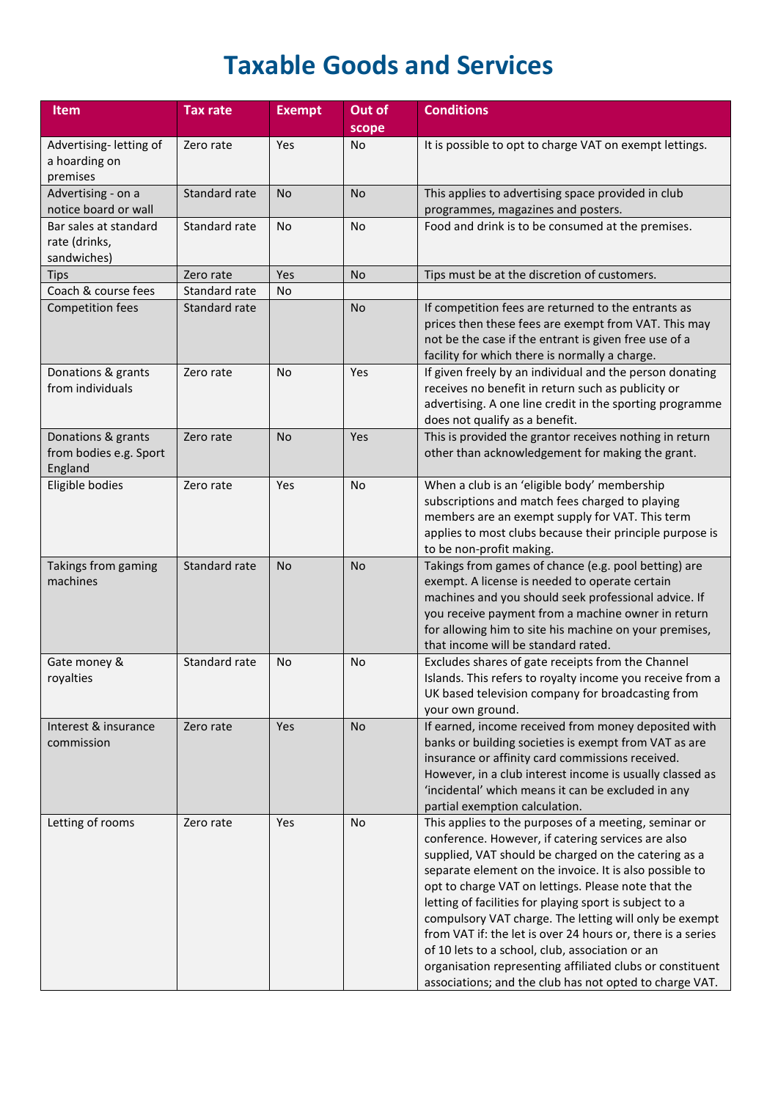## **Taxable Goods and Services**

| <b>Item</b>                                             | <b>Tax rate</b> | <b>Exempt</b> | Out of    | <b>Conditions</b>                                                                                                                                                                                                                                                                                                                                                                                                                                                                                                                                                                                                                                    |
|---------------------------------------------------------|-----------------|---------------|-----------|------------------------------------------------------------------------------------------------------------------------------------------------------------------------------------------------------------------------------------------------------------------------------------------------------------------------------------------------------------------------------------------------------------------------------------------------------------------------------------------------------------------------------------------------------------------------------------------------------------------------------------------------------|
|                                                         |                 |               | scope     |                                                                                                                                                                                                                                                                                                                                                                                                                                                                                                                                                                                                                                                      |
| Advertising-letting of<br>a hoarding on<br>premises     | Zero rate       | Yes           | No        | It is possible to opt to charge VAT on exempt lettings.                                                                                                                                                                                                                                                                                                                                                                                                                                                                                                                                                                                              |
| Advertising - on a<br>notice board or wall              | Standard rate   | <b>No</b>     | <b>No</b> | This applies to advertising space provided in club<br>programmes, magazines and posters.                                                                                                                                                                                                                                                                                                                                                                                                                                                                                                                                                             |
| Bar sales at standard<br>rate (drinks,<br>sandwiches)   | Standard rate   | No            | No        | Food and drink is to be consumed at the premises.                                                                                                                                                                                                                                                                                                                                                                                                                                                                                                                                                                                                    |
| <b>Tips</b>                                             | Zero rate       | Yes           | <b>No</b> | Tips must be at the discretion of customers.                                                                                                                                                                                                                                                                                                                                                                                                                                                                                                                                                                                                         |
| Coach & course fees                                     | Standard rate   | No.           |           |                                                                                                                                                                                                                                                                                                                                                                                                                                                                                                                                                                                                                                                      |
| <b>Competition fees</b>                                 | Standard rate   |               | <b>No</b> | If competition fees are returned to the entrants as<br>prices then these fees are exempt from VAT. This may<br>not be the case if the entrant is given free use of a<br>facility for which there is normally a charge.                                                                                                                                                                                                                                                                                                                                                                                                                               |
| Donations & grants<br>from individuals                  | Zero rate       | No            | Yes       | If given freely by an individual and the person donating<br>receives no benefit in return such as publicity or<br>advertising. A one line credit in the sporting programme<br>does not qualify as a benefit.                                                                                                                                                                                                                                                                                                                                                                                                                                         |
| Donations & grants<br>from bodies e.g. Sport<br>England | Zero rate       | <b>No</b>     | Yes       | This is provided the grantor receives nothing in return<br>other than acknowledgement for making the grant.                                                                                                                                                                                                                                                                                                                                                                                                                                                                                                                                          |
| Eligible bodies                                         | Zero rate       | Yes           | No        | When a club is an 'eligible body' membership<br>subscriptions and match fees charged to playing<br>members are an exempt supply for VAT. This term<br>applies to most clubs because their principle purpose is<br>to be non-profit making.                                                                                                                                                                                                                                                                                                                                                                                                           |
| Takings from gaming<br>machines                         | Standard rate   | <b>No</b>     | <b>No</b> | Takings from games of chance (e.g. pool betting) are<br>exempt. A license is needed to operate certain<br>machines and you should seek professional advice. If<br>you receive payment from a machine owner in return<br>for allowing him to site his machine on your premises,<br>that income will be standard rated.                                                                                                                                                                                                                                                                                                                                |
| Gate money &<br>royalties                               | Standard rate   | No            | No        | Excludes shares of gate receipts from the Channel<br>Islands. This refers to royalty income you receive from a<br>UK based television company for broadcasting from<br>your own ground.                                                                                                                                                                                                                                                                                                                                                                                                                                                              |
| Interest & insurance<br>commission                      | Zero rate       | Yes           | <b>No</b> | If earned, income received from money deposited with<br>banks or building societies is exempt from VAT as are<br>insurance or affinity card commissions received.<br>However, in a club interest income is usually classed as<br>'incidental' which means it can be excluded in any<br>partial exemption calculation.                                                                                                                                                                                                                                                                                                                                |
| Letting of rooms                                        | Zero rate       | Yes           | No        | This applies to the purposes of a meeting, seminar or<br>conference. However, if catering services are also<br>supplied, VAT should be charged on the catering as a<br>separate element on the invoice. It is also possible to<br>opt to charge VAT on lettings. Please note that the<br>letting of facilities for playing sport is subject to a<br>compulsory VAT charge. The letting will only be exempt<br>from VAT if: the let is over 24 hours or, there is a series<br>of 10 lets to a school, club, association or an<br>organisation representing affiliated clubs or constituent<br>associations; and the club has not opted to charge VAT. |